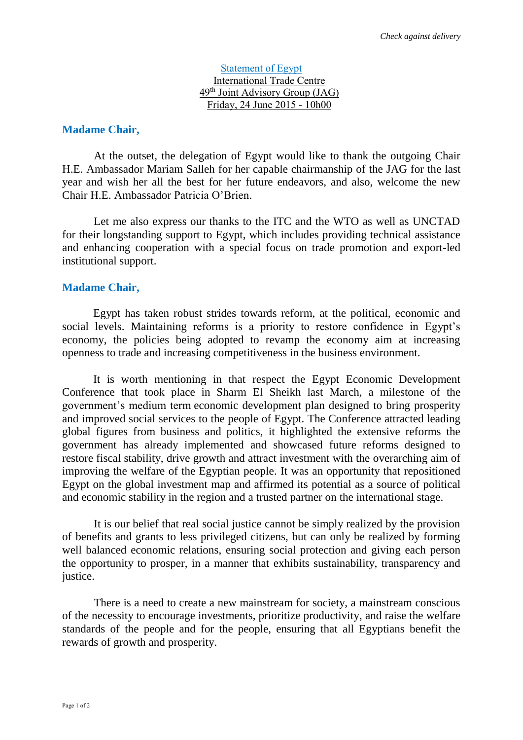#### Statement of Egypt International Trade Centre 49th Joint Advisory Group (JAG) Friday, 24 June 2015 - 10h00

## **Madame Chair,**

At the outset, the delegation of Egypt would like to thank the outgoing Chair H.E. Ambassador Mariam Salleh for her capable chairmanship of the JAG for the last year and wish her all the best for her future endeavors, and also, welcome the new Chair H.E. Ambassador Patricia O'Brien.

Let me also express our thanks to the ITC and the WTO as well as UNCTAD for their longstanding support to Egypt, which includes providing technical assistance and enhancing cooperation with a special focus on trade promotion and export-led institutional support.

### **Madame Chair,**

Egypt has taken robust strides towards reform, at the political, economic and social levels. Maintaining reforms is a priority to restore confidence in Egypt's economy, the policies being adopted to revamp the economy aim at increasing openness to trade and increasing competitiveness in the business environment.

It is worth mentioning in that respect the Egypt Economic Development Conference that took place in Sharm El Sheikh last March, a milestone of the government's medium term economic development plan designed to bring prosperity and improved social services to the people of Egypt. The Conference attracted leading global figures from business and politics, it highlighted the extensive reforms the government has already implemented and showcased future reforms designed to restore fiscal stability, drive growth and attract investment with the overarching aim of improving the welfare of the Egyptian people. It was an opportunity that repositioned Egypt on the global investment map and affirmed its potential as a source of political and economic stability in the region and a trusted partner on the international stage.

It is our belief that real social justice cannot be simply realized by the provision of benefits and grants to less privileged citizens, but can only be realized by forming well balanced economic relations, ensuring social protection and giving each person the opportunity to prosper, in a manner that exhibits sustainability, transparency and justice.

There is a need to create a new mainstream for society, a mainstream conscious of the necessity to encourage investments, prioritize productivity, and raise the welfare standards of the people and for the people, ensuring that all Egyptians benefit the rewards of growth and prosperity.